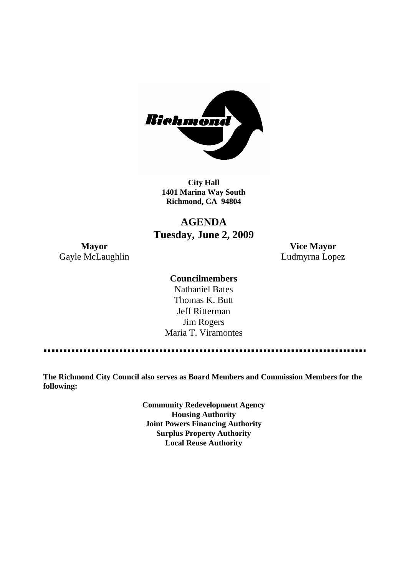

**City Hall 1401 Marina Way South Richmond, CA 94804**

## **AGENDA Tuesday, June 2, 2009**

Gayle McLaughlin **Ludmyrna Lopez** 

**Mayor Vice Mayor**

### **Councilmembers**

Nathaniel Bates Thomas K. Butt Jeff Ritterman Jim Rogers Maria T. Viramontes

**The Richmond City Council also serves as Board Members and Commission Members for the following:**

> **Community Redevelopment Agency Housing Authority Joint Powers Financing Authority Surplus Property Authority Local Reuse Authority**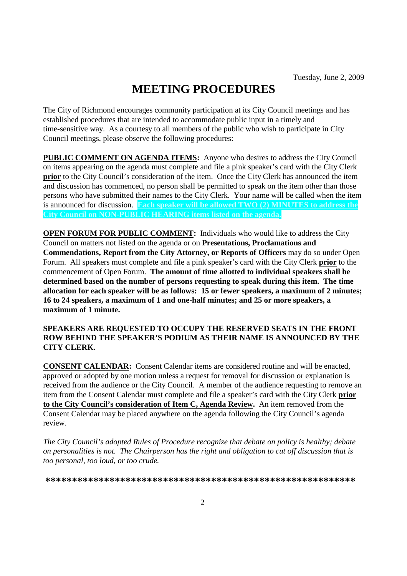# **MEETING PROCEDURES**

The City of Richmond encourages community participation at its City Council meetings and has established procedures that are intended to accommodate public input in a timely and time-sensitive way. As a courtesy to all members of the public who wish to participate in City Council meetings, please observe the following procedures:

**PUBLIC COMMENT ON AGENDA ITEMS:** Anyone who desires to address the City Council on items appearing on the agenda must complete and file a pink speaker's card with the City Clerk **prior** to the City Council's consideration of the item. Once the City Clerk has announced the item and discussion has commenced, no person shall be permitted to speak on the item other than those persons who have submitted their names to the City Clerk. Your name will be called when the item is announced for discussion. **Each speaker will be allowed TWO (2) MINUTES to address the City Council on NON-PUBLIC HEARING items listed on the agenda.**

**OPEN FORUM FOR PUBLIC COMMENT:** Individuals who would like to address the City Council on matters not listed on the agenda or on **Presentations, Proclamations and Commendations, Report from the City Attorney, or Reports of Officers** may do so under Open Forum. All speakers must complete and file a pink speaker's card with the City Clerk **prior** to the commencement of Open Forum. **The amount of time allotted to individual speakers shall be determined based on the number of persons requesting to speak during this item. The time allocation for each speaker will be as follows: 15 or fewer speakers, a maximum of 2 minutes; 16 to 24 speakers, a maximum of 1 and one-half minutes; and 25 or more speakers, a maximum of 1 minute.**

#### **SPEAKERS ARE REQUESTED TO OCCUPY THE RESERVED SEATS IN THE FRONT ROW BEHIND THE SPEAKER'S PODIUM AS THEIR NAME IS ANNOUNCED BY THE CITY CLERK.**

**CONSENT CALENDAR:** Consent Calendar items are considered routine and will be enacted, approved or adopted by one motion unless a request for removal for discussion or explanation is received from the audience or the City Council. A member of the audience requesting to remove an item from the Consent Calendar must complete and file a speaker's card with the City Clerk **prior to the City Council's consideration of Item C, Agenda Review.** An item removed from the Consent Calendar may be placed anywhere on the agenda following the City Council's agenda review.

*The City Council's adopted Rules of Procedure recognize that debate on policy is healthy; debate on personalities is not. The Chairperson has the right and obligation to cut off discussion that is too personal, too loud, or too crude.*

**\*\*\*\*\*\*\*\*\*\*\*\*\*\*\*\*\*\*\*\*\*\*\*\*\*\*\*\*\*\*\*\*\*\*\*\*\*\*\*\*\*\*\*\*\*\*\*\*\*\*\*\*\*\*\*\*\*\***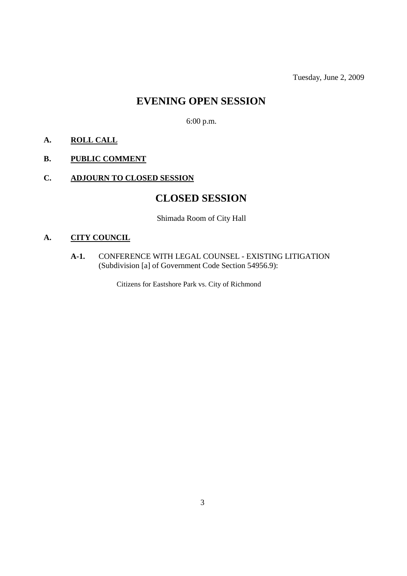Tuesday, June 2, 2009

## **EVENING OPEN SESSION**

6:00 p.m.

## **A. ROLL CALL**

## **B. PUBLIC COMMENT**

## **C. ADJOURN TO CLOSED SESSION**

## **CLOSED SESSION**

Shimada Room of City Hall

## **A. CITY COUNCIL**

**A-1.** CONFERENCE WITH LEGAL COUNSEL - EXISTING LITIGATION (Subdivision [a] of Government Code Section 54956.9):

Citizens for Eastshore Park vs. City of Richmond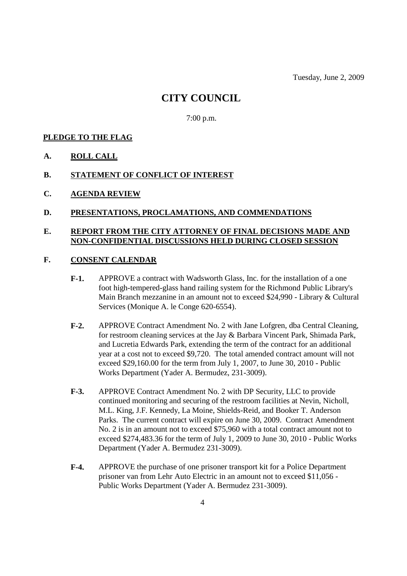## **CITY COUNCIL**

7:00 p.m.

#### **PLEDGE TO THE FLAG**

**A. ROLL CALL**

#### **B. STATEMENT OF CONFLICT OF INTEREST**

**C. AGENDA REVIEW**

#### **D. PRESENTATIONS, PROCLAMATIONS, AND COMMENDATIONS**

### **E. REPORT FROM THE CITY ATTORNEY OF FINAL DECISIONS MADE AND NON-CONFIDENTIAL DISCUSSIONS HELD DURING CLOSED SESSION**

#### **F. CONSENT CALENDAR**

- **F-1.** APPROVE a contract with Wadsworth Glass, Inc. for the installation of a one foot high-tempered-glass hand railing system for the Richmond Public Library's Main Branch mezzanine in an amount not to exceed \$24,990 - Library & Cultural Services (Monique A. le Conge 620-6554).
- **F-2.** APPROVE Contract Amendment No. 2 with Jane Lofgren, dba Central Cleaning, for restroom cleaning services at the Jay & Barbara Vincent Park, Shimada Park, and Lucretia Edwards Park, extending the term of the contract for an additional year at a cost not to exceed \$9,720. The total amended contract amount will not exceed \$29,160.00 for the term from July 1, 2007, to June 30, 2010 - Public Works Department (Yader A. Bermudez, 231-3009).
- **F-3.** APPROVE Contract Amendment No. 2 with DP Security, LLC to provide continued monitoring and securing of the restroom facilities at Nevin, Nicholl, M.L. King, J.F. Kennedy, La Moine, Shields-Reid, and Booker T. Anderson Parks. The current contract will expire on June 30, 2009. Contract Amendment No. 2 is in an amount not to exceed \$75,960 with a total contract amount not to exceed \$274,483.36 for the term of July 1, 2009 to June 30, 2010 - Public Works Department (Yader A. Bermudez 231-3009).
- **F-4.** APPROVE the purchase of one prisoner transport kit for a Police Department prisoner van from Lehr Auto Electric in an amount not to exceed \$11,056 - Public Works Department (Yader A. Bermudez 231-3009).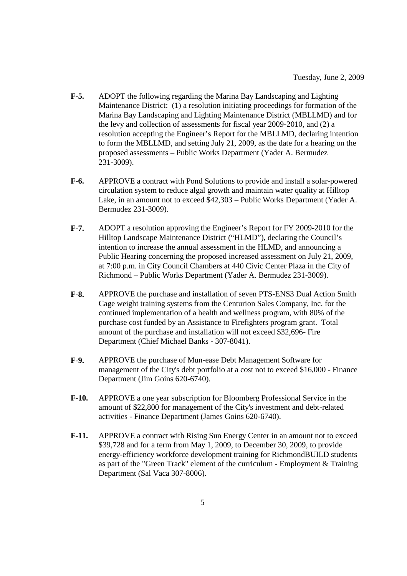- **F-5.** ADOPT the following regarding the Marina Bay Landscaping and Lighting Maintenance District: (1) a resolution initiating proceedings for formation of the Marina Bay Landscaping and Lighting Maintenance District (MBLLMD) and for the levy and collection of assessments for fiscal year 2009-2010, and (2) a resolution accepting the Engineer's Report for the MBLLMD, declaring intention to form the MBLLMD, and setting July 21, 2009, as the date for a hearing on the proposed assessments – Public Works Department (Yader A. Bermudez 231-3009).
- **F-6.** APPROVE a contract with Pond Solutions to provide and install a solar-powered circulation system to reduce algal growth and maintain water quality at Hilltop Lake, in an amount not to exceed \$42,303 – Public Works Department (Yader A. Bermudez 231-3009).
- **F-7.** ADOPT a resolution approving the Engineer's Report for FY 2009-2010 for the Hilltop Landscape Maintenance District ("HLMD"), declaring the Council's intention to increase the annual assessment in the HLMD, and announcing a Public Hearing concerning the proposed increased assessment on July 21, 2009, at 7:00 p.m. in City Council Chambers at 440 Civic Center Plaza in the City of Richmond – Public Works Department (Yader A. Bermudez 231-3009).
- **F-8.** APPROVE the purchase and installation of seven PTS-ENS3 Dual Action Smith Cage weight training systems from the Centurion Sales Company, Inc. for the continued implementation of a health and wellness program, with 80% of the purchase cost funded by an Assistance to Firefighters program grant. Total amount of the purchase and installation will not exceed \$32,696- Fire Department (Chief Michael Banks - 307-8041).
- **F-9.** APPROVE the purchase of Mun-ease Debt Management Software for management of the City's debt portfolio at a cost not to exceed \$16,000 - Finance Department (Jim Goins 620-6740).
- **F-10.** APPROVE a one year subscription for Bloomberg Professional Service in the amount of \$22,800 for management of the City's investment and debt-related activities - Finance Department (James Goins 620-6740).
- **F-11.** APPROVE a contract with Rising Sun Energy Center in an amount not to exceed \$39,728 and for a term from May 1, 2009, to December 30, 2009, to provide energy-efficiency workforce development training for RichmondBUILD students as part of the "Green Track" element of the curriculum - Employment & Training Department (Sal Vaca 307-8006).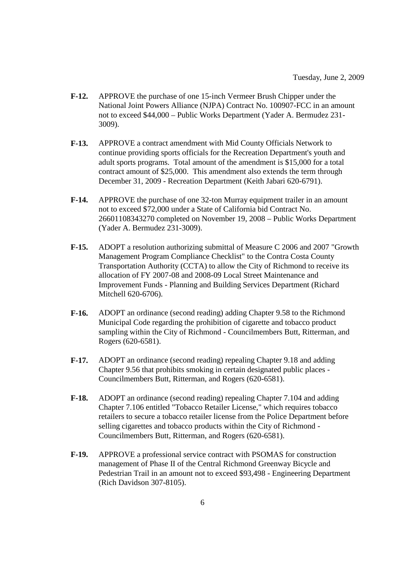- **F-12.** APPROVE the purchase of one 15-inch Vermeer Brush Chipper under the National Joint Powers Alliance (NJPA) Contract No. 100907-FCC in an amount not to exceed \$44,000 – Public Works Department (Yader A. Bermudez 231- 3009).
- **F-13.** APPROVE a contract amendment with Mid County Officials Network to continue providing sports officials for the Recreation Department's youth and adult sports programs. Total amount of the amendment is \$15,000 for a total contract amount of \$25,000. This amendment also extends the term through December 31, 2009 - Recreation Department (Keith Jabari 620-6791).
- **F-14.** APPROVE the purchase of one 32-ton Murray equipment trailer in an amount not to exceed \$72,000 under a State of California bid Contract No. 26601108343270 completed on November 19, 2008 – Public Works Department (Yader A. Bermudez 231-3009).
- **F-15.** ADOPT a resolution authorizing submittal of Measure C 2006 and 2007 "Growth Management Program Compliance Checklist" to the Contra Costa County Transportation Authority (CCTA) to allow the City of Richmond to receive its allocation of FY 2007-08 and 2008-09 Local Street Maintenance and Improvement Funds - Planning and Building Services Department (Richard Mitchell 620-6706).
- **F-16.** ADOPT an ordinance (second reading) adding Chapter 9.58 to the Richmond Municipal Code regarding the prohibition of cigarette and tobacco product sampling within the City of Richmond - Councilmembers Butt, Ritterman, and Rogers (620-6581).
- **F-17.** ADOPT an ordinance (second reading) repealing Chapter 9.18 and adding Chapter 9.56 that prohibits smoking in certain designated public places - Councilmembers Butt, Ritterman, and Rogers (620-6581).
- **F-18.** ADOPT an ordinance (second reading) repealing Chapter 7.104 and adding Chapter 7.106 entitled "Tobacco Retailer License," which requires tobacco retailers to secure a tobacco retailer license from the Police Department before selling cigarettes and tobacco products within the City of Richmond - Councilmembers Butt, Ritterman, and Rogers (620-6581).
- **F-19.** APPROVE a professional service contract with PSOMAS for construction management of Phase II of the Central Richmond Greenway Bicycle and Pedestrian Trail in an amount not to exceed \$93,498 - Engineering Department (Rich Davidson 307-8105).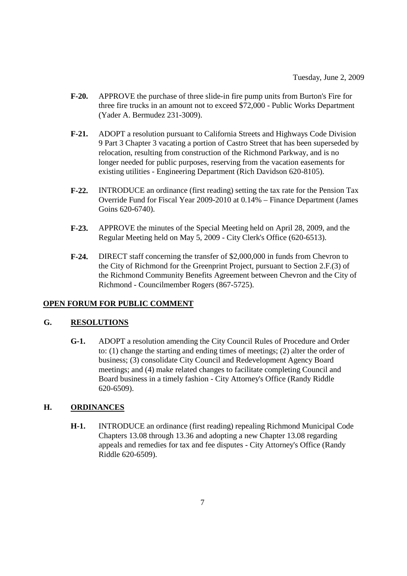- **F-20.** APPROVE the purchase of three slide-in fire pump units from Burton's Fire for three fire trucks in an amount not to exceed \$72,000 - Public Works Department (Yader A. Bermudez 231-3009).
- **F-21.** ADOPT a resolution pursuant to California Streets and Highways Code Division 9 Part 3 Chapter 3 vacating a portion of Castro Street that has been superseded by relocation, resulting from construction of the Richmond Parkway, and is no longer needed for public purposes, reserving from the vacation easements for existing utilities - Engineering Department (Rich Davidson 620-8105).
- **F-22.** INTRODUCE an ordinance (first reading) setting the tax rate for the Pension Tax Override Fund for Fiscal Year 2009-2010 at 0.14% – Finance Department (James Goins 620-6740).
- **F-23.** APPROVE the minutes of the Special Meeting held on April 28, 2009, and the Regular Meeting held on May 5, 2009 - City Clerk's Office (620-6513).
- **F-24.** DIRECT staff concerning the transfer of \$2,000,000 in funds from Chevron to the City of Richmond for the Greenprint Project, pursuant to Section 2.F.(3) of the Richmond Community Benefits Agreement between Chevron and the City of Richmond - Councilmember Rogers (867-5725).

#### **OPEN FORUM FOR PUBLIC COMMENT**

### **G. RESOLUTIONS**

**G-1.** ADOPT a resolution amending the City Council Rules of Procedure and Order to: (1) change the starting and ending times of meetings; (2) alter the order of business; (3) consolidate City Council and Redevelopment Agency Board meetings; and (4) make related changes to facilitate completing Council and Board business in a timely fashion - City Attorney's Office (Randy Riddle 620-6509).

#### **H. ORDINANCES**

**H-1.** INTRODUCE an ordinance (first reading) repealing Richmond Municipal Code Chapters 13.08 through 13.36 and adopting a new Chapter 13.08 regarding appeals and remedies for tax and fee disputes - City Attorney's Office (Randy Riddle 620-6509).